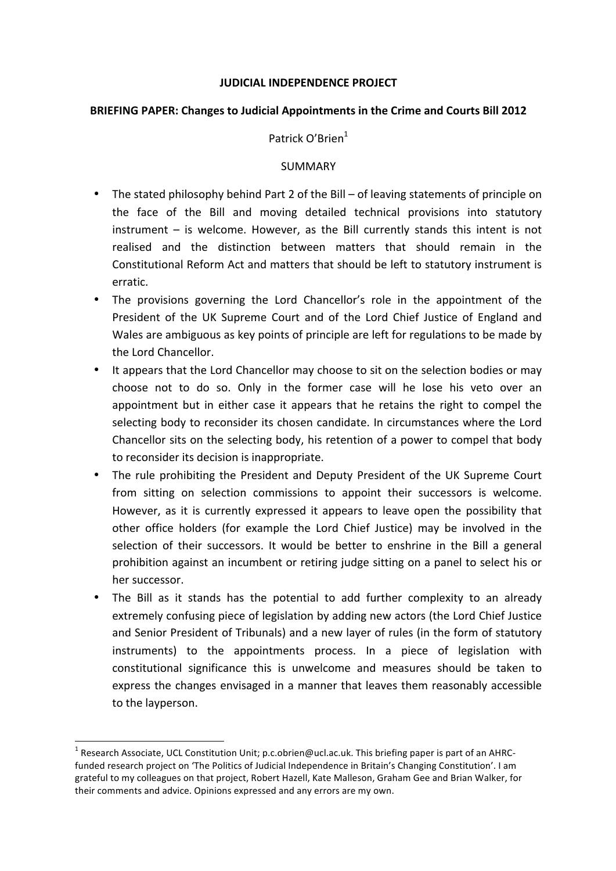## **JUDICIAL INDEPENDENCE PROJECT**

### **BRIEFING PAPER: Changes to Judicial Appointments in the Crime and Courts Bill 2012**

## Patrick O'Brien<sup>1</sup>

#### SUMMARY

- The stated philosophy behind Part 2 of the Bill of leaving statements of principle on the face of the Bill and moving detailed technical provisions into statutory  $instrument - is$  welcome. However, as the Bill currently stands this intent is not realised and the distinction between matters that should remain in the Constitutional Reform Act and matters that should be left to statutory instrument is erratic.
- The provisions governing the Lord Chancellor's role in the appointment of the President of the UK Supreme Court and of the Lord Chief Justice of England and Wales are ambiguous as key points of principle are left for regulations to be made by the Lord Chancellor.
- It appears that the Lord Chancellor may choose to sit on the selection bodies or may choose not to do so. Only in the former case will he lose his veto over an appointment but in either case it appears that he retains the right to compel the selecting body to reconsider its chosen candidate. In circumstances where the Lord Chancellor sits on the selecting body, his retention of a power to compel that body to reconsider its decision is inappropriate.
- The rule prohibiting the President and Deputy President of the UK Supreme Court from sitting on selection commissions to appoint their successors is welcome. However, as it is currently expressed it appears to leave open the possibility that other office holders (for example the Lord Chief Justice) may be involved in the selection of their successors. It would be better to enshrine in the Bill a general prohibition against an incumbent or retiring judge sitting on a panel to select his or her successor.
- The Bill as it stands has the potential to add further complexity to an already extremely confusing piece of legislation by adding new actors (the Lord Chief Justice and Senior President of Tribunals) and a new layer of rules (in the form of statutory instruments) to the appointments process. In a piece of legislation with constitutional significance this is unwelcome and measures should be taken to express the changes envisaged in a manner that leaves them reasonably accessible to the layperson.

<sup>&</sup>lt;sup>1</sup> Research Associate, UCL Constitution Unit; p.c.obrien@ucl.ac.uk. This briefing paper is part of an AHRCfunded research project on 'The Politics of Judicial Independence in Britain's Changing Constitution'. I am grateful to my colleagues on that project, Robert Hazell, Kate Malleson, Graham Gee and Brian Walker, for their comments and advice. Opinions expressed and any errors are my own.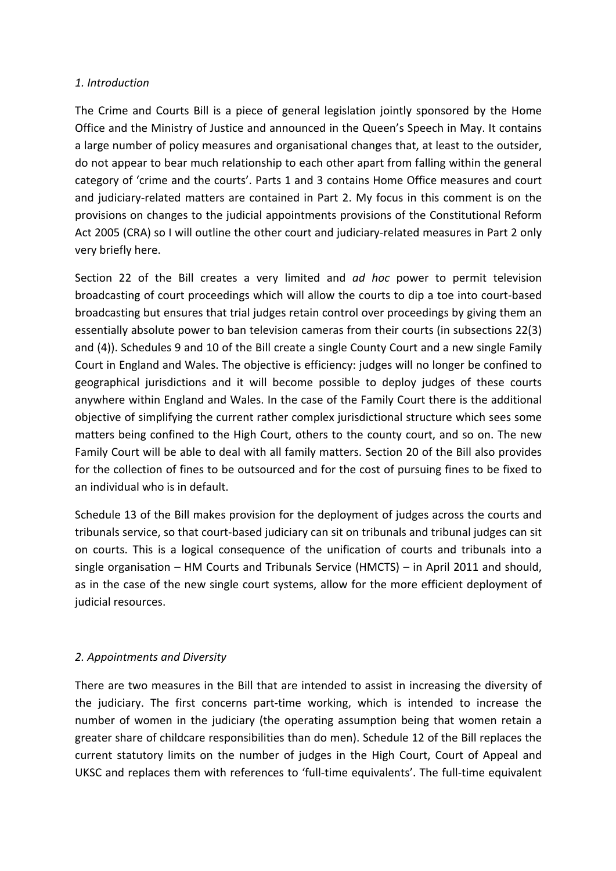## *1. Introduction*

The Crime and Courts Bill is a piece of general legislation jointly sponsored by the Home Office and the Ministry of Justice and announced in the Queen's Speech in May. It contains a large number of policy measures and organisational changes that, at least to the outsider, do not appear to bear much relationship to each other apart from falling within the general category of 'crime and the courts'. Parts 1 and 3 contains Home Office measures and court and judiciary-related matters are contained in Part 2. My focus in this comment is on the provisions on changes to the judicial appointments provisions of the Constitutional Reform Act 2005 (CRA) so I will outline the other court and judiciary-related measures in Part 2 only very briefly here.

Section 22 of the Bill creates a very limited and *ad hoc* power to permit television broadcasting of court proceedings which will allow the courts to dip a toe into court-based broadcasting but ensures that trial judges retain control over proceedings by giving them an essentially absolute power to ban television cameras from their courts (in subsections 22(3) and (4)). Schedules 9 and 10 of the Bill create a single County Court and a new single Family Court in England and Wales. The objective is efficiency: judges will no longer be confined to geographical jurisdictions and it will become possible to deploy judges of these courts anywhere within England and Wales. In the case of the Family Court there is the additional objective of simplifying the current rather complex jurisdictional structure which sees some matters being confined to the High Court, others to the county court, and so on. The new Family Court will be able to deal with all family matters. Section 20 of the Bill also provides for the collection of fines to be outsourced and for the cost of pursuing fines to be fixed to an individual who is in default.

Schedule 13 of the Bill makes provision for the deployment of judges across the courts and tribunals service, so that court-based judiciary can sit on tribunals and tribunal judges can sit on courts. This is a logical consequence of the unification of courts and tribunals into a single organisation  $-$  HM Courts and Tribunals Service (HMCTS)  $-$  in April 2011 and should, as in the case of the new single court systems, allow for the more efficient deployment of judicial resources.

# *2. Appointments and Diversity*

There are two measures in the Bill that are intended to assist in increasing the diversity of the judiciary. The first concerns part-time working, which is intended to increase the number of women in the judiciary (the operating assumption being that women retain a greater share of childcare responsibilities than do men). Schedule 12 of the Bill replaces the current statutory limits on the number of judges in the High Court, Court of Appeal and UKSC and replaces them with references to 'full-time equivalents'. The full-time equivalent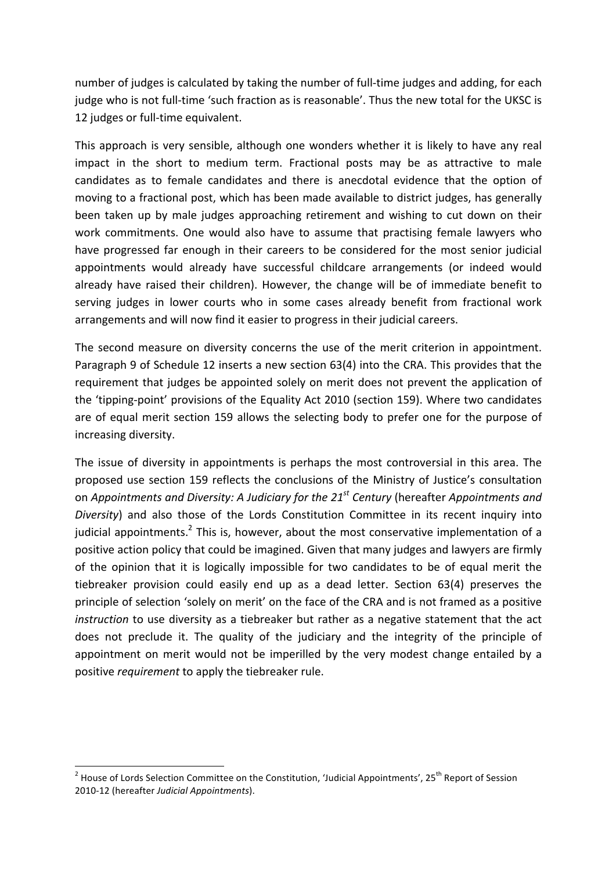number of judges is calculated by taking the number of full-time judges and adding, for each judge who is not full-time 'such fraction as is reasonable'. Thus the new total for the UKSC is 12 judges or full-time equivalent.

This approach is very sensible, although one wonders whether it is likely to have any real impact in the short to medium term. Fractional posts may be as attractive to male candidates as to female candidates and there is anecdotal evidence that the option of moving to a fractional post, which has been made available to district judges, has generally been taken up by male judges approaching retirement and wishing to cut down on their work commitments. One would also have to assume that practising female lawyers who have progressed far enough in their careers to be considered for the most senior judicial appointments would already have successful childcare arrangements (or indeed would already have raised their children). However, the change will be of immediate benefit to serving judges in lower courts who in some cases already benefit from fractional work arrangements and will now find it easier to progress in their judicial careers.

The second measure on diversity concerns the use of the merit criterion in appointment. Paragraph 9 of Schedule 12 inserts a new section  $63(4)$  into the CRA. This provides that the requirement that judges be appointed solely on merit does not prevent the application of the 'tipping-point' provisions of the Equality Act 2010 (section 159). Where two candidates are of equal merit section 159 allows the selecting body to prefer one for the purpose of increasing diversity.

The issue of diversity in appointments is perhaps the most controversial in this area. The proposed use section 159 reflects the conclusions of the Ministry of Justice's consultation on *Appointments and Diversity:* A Judiciary for the 21<sup>st</sup> Century (hereafter *Appointments and Diversity*) and also those of the Lords Constitution Committee in its recent inquiry into judicial appointments.<sup>2</sup> This is, however, about the most conservative implementation of a positive action policy that could be imagined. Given that many judges and lawyers are firmly of the opinion that it is logically impossible for two candidates to be of equal merit the tiebreaker provision could easily end up as a dead letter. Section 63(4) preserves the principle of selection 'solely on merit' on the face of the CRA and is not framed as a positive *instruction* to use diversity as a tiebreaker but rather as a negative statement that the act does not preclude it. The quality of the judiciary and the integrity of the principle of appointment on merit would not be imperilled by the very modest change entailed by a positive *requirement* to apply the tiebreaker rule.

<u> 1989 - Jan Samuel Barbara, margaret e</u>

 $2$  House of Lords Selection Committee on the Constitution, 'Judicial Appointments', 25<sup>th</sup> Report of Session 2010-12 (hereafter *Judicial Appointments*).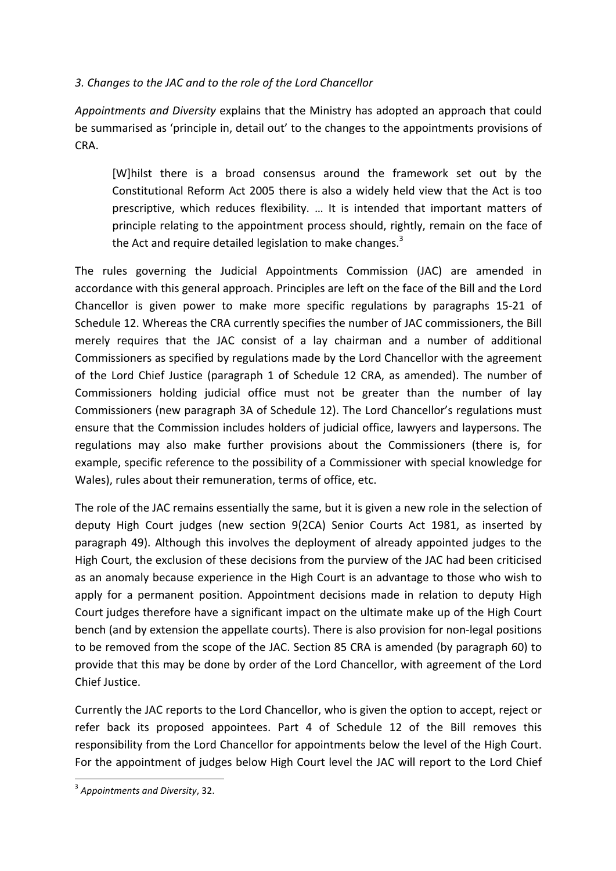# *3. Changes to the JAC and to the role of the Lord Chancellor*

*Appointments and Diversity* explains that the Ministry has adopted an approach that could be summarised as 'principle in, detail out' to the changes to the appointments provisions of CRA.

[W]hilst there is a broad consensus around the framework set out by the Constitutional Reform Act 2005 there is also a widely held view that the Act is too prescriptive, which reduces flexibility. ... It is intended that important matters of principle relating to the appointment process should, rightly, remain on the face of the Act and require detailed legislation to make changes.<sup>3</sup>

The rules governing the Judicial Appointments Commission (JAC) are amended in accordance with this general approach. Principles are left on the face of the Bill and the Lord Chancellor is given power to make more specific regulations by paragraphs 15-21 of Schedule 12. Whereas the CRA currently specifies the number of JAC commissioners, the Bill merely requires that the JAC consist of a lay chairman and a number of additional Commissioners as specified by regulations made by the Lord Chancellor with the agreement of the Lord Chief Justice (paragraph 1 of Schedule 12 CRA, as amended). The number of Commissioners holding judicial office must not be greater than the number of lay Commissioners (new paragraph 3A of Schedule 12). The Lord Chancellor's regulations must ensure that the Commission includes holders of judicial office, lawyers and laypersons. The regulations may also make further provisions about the Commissioners (there is, for example, specific reference to the possibility of a Commissioner with special knowledge for Wales), rules about their remuneration, terms of office, etc.

The role of the JAC remains essentially the same, but it is given a new role in the selection of deputy High Court judges (new section 9(2CA) Senior Courts Act 1981, as inserted by paragraph 49). Although this involves the deployment of already appointed judges to the High Court, the exclusion of these decisions from the purview of the JAC had been criticised as an anomaly because experience in the High Court is an advantage to those who wish to apply for a permanent position. Appointment decisions made in relation to deputy High Court judges therefore have a significant impact on the ultimate make up of the High Court bench (and by extension the appellate courts). There is also provision for non-legal positions to be removed from the scope of the JAC. Section 85 CRA is amended (by paragraph 60) to provide that this may be done by order of the Lord Chancellor, with agreement of the Lord Chief Justice.

Currently the JAC reports to the Lord Chancellor, who is given the option to accept, reject or refer back its proposed appointees. Part 4 of Schedule 12 of the Bill removes this responsibility from the Lord Chancellor for appointments below the level of the High Court. For the appointment of judges below High Court level the JAC will report to the Lord Chief

 <sup>3</sup> Appointments and Diversity, 32.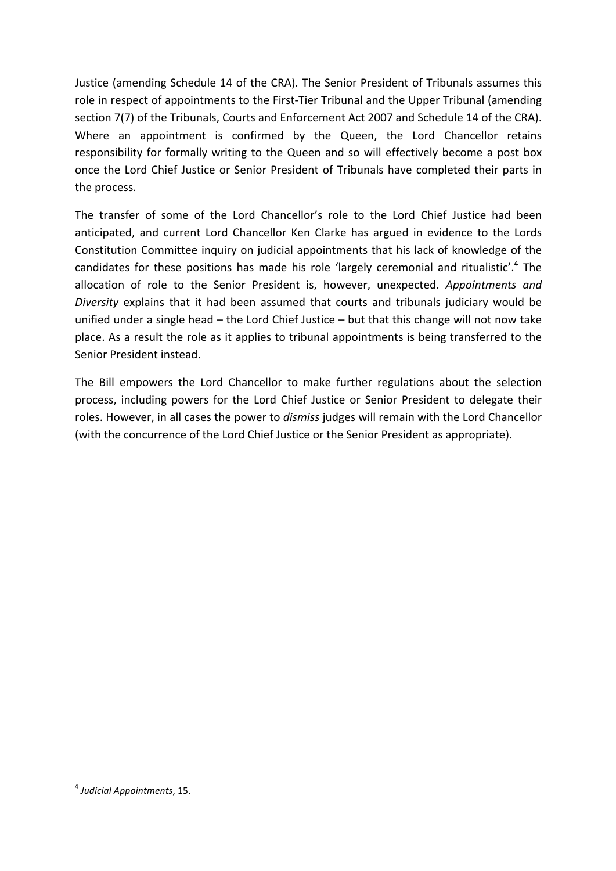Justice (amending Schedule 14 of the CRA). The Senior President of Tribunals assumes this role in respect of appointments to the First-Tier Tribunal and the Upper Tribunal (amending section 7(7) of the Tribunals, Courts and Enforcement Act 2007 and Schedule 14 of the CRA). Where an appointment is confirmed by the Queen, the Lord Chancellor retains responsibility for formally writing to the Queen and so will effectively become a post box once the Lord Chief Justice or Senior President of Tribunals have completed their parts in the process.

The transfer of some of the Lord Chancellor's role to the Lord Chief Justice had been anticipated, and current Lord Chancellor Ken Clarke has argued in evidence to the Lords Constitution Committee inquiry on judicial appointments that his lack of knowledge of the candidates for these positions has made his role 'largely ceremonial and ritualistic'.<sup>4</sup> The allocation of role to the Senior President is, however, unexpected. *Appointments and Diversity* explains that it had been assumed that courts and tribunals judiciary would be unified under a single head  $-$  the Lord Chief Justice  $-$  but that this change will not now take place. As a result the role as it applies to tribunal appointments is being transferred to the Senior President instead.

The Bill empowers the Lord Chancellor to make further regulations about the selection process, including powers for the Lord Chief Justice or Senior President to delegate their roles. However, in all cases the power to *dismiss* judges will remain with the Lord Chancellor (with the concurrence of the Lord Chief Justice or the Senior President as appropriate).

 

<sup>&</sup>lt;sup>4</sup> Judicial Appointments, 15.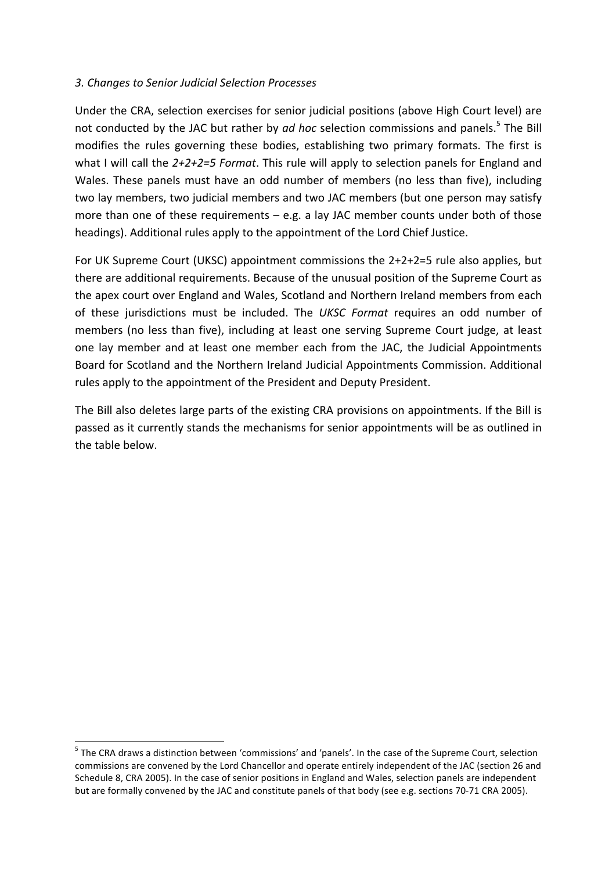# *3. Changes to Senior Judicial Selection Processes*

Under the CRA, selection exercises for senior judicial positions (above High Court level) are not conducted by the JAC but rather by *ad hoc* selection commissions and panels.<sup>5</sup> The Bill modifies the rules governing these bodies, establishing two primary formats. The first is what I will call the 2+2+2=5 Format. This rule will apply to selection panels for England and Wales. These panels must have an odd number of members (no less than five), including two lay members, two judicial members and two JAC members (but one person may satisfy more than one of these requirements  $-$  e.g. a lay JAC member counts under both of those headings). Additional rules apply to the appointment of the Lord Chief Justice.

For UK Supreme Court (UKSC) appointment commissions the  $2+2+2=5$  rule also applies, but there are additional requirements. Because of the unusual position of the Supreme Court as the apex court over England and Wales, Scotland and Northern Ireland members from each of these jurisdictions must be included. The *UKSC Format* requires an odd number of members (no less than five), including at least one serving Supreme Court judge, at least one lay member and at least one member each from the JAC, the Judicial Appointments Board for Scotland and the Northern Ireland Judicial Appointments Commission. Additional rules apply to the appointment of the President and Deputy President.

The Bill also deletes large parts of the existing CRA provisions on appointments. If the Bill is passed as it currently stands the mechanisms for senior appointments will be as outlined in the table below.

 $<sup>5</sup>$  The CRA draws a distinction between 'commissions' and 'panels'. In the case of the Supreme Court, selection</sup> commissions are convened by the Lord Chancellor and operate entirely independent of the JAC (section 26 and Schedule 8, CRA 2005). In the case of senior positions in England and Wales, selection panels are independent but are formally convened by the JAC and constitute panels of that body (see e.g. sections 70-71 CRA 2005).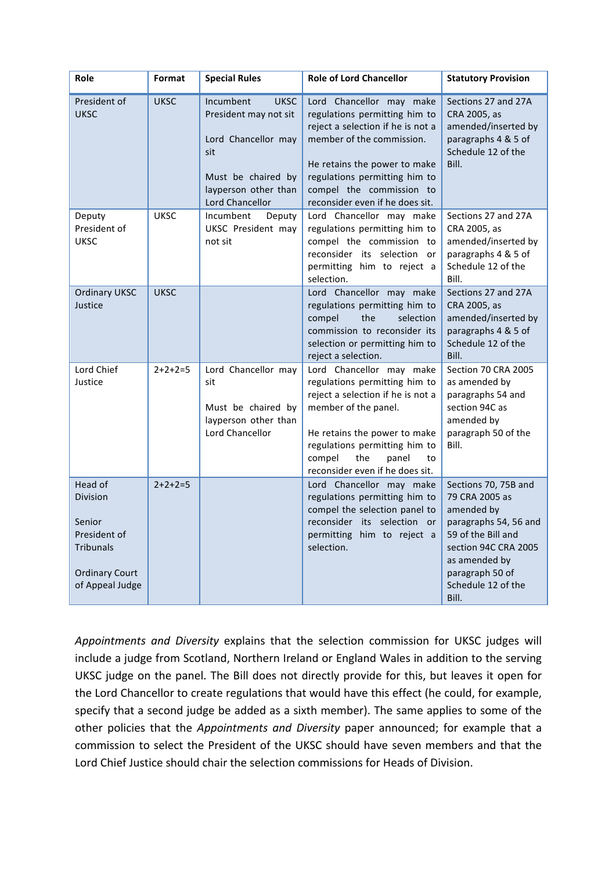| Role                                                                                                                 | Format      | <b>Special Rules</b>                                                                                                                             | <b>Role of Lord Chancellor</b>                                                                                                                                                                                                                              | <b>Statutory Provision</b>                                                                                                                                                                     |
|----------------------------------------------------------------------------------------------------------------------|-------------|--------------------------------------------------------------------------------------------------------------------------------------------------|-------------------------------------------------------------------------------------------------------------------------------------------------------------------------------------------------------------------------------------------------------------|------------------------------------------------------------------------------------------------------------------------------------------------------------------------------------------------|
| President of<br><b>UKSC</b>                                                                                          | <b>UKSC</b> | Incumbent<br><b>UKSC</b><br>President may not sit<br>Lord Chancellor may<br>sit<br>Must be chaired by<br>layperson other than<br>Lord Chancellor | Lord Chancellor may make<br>regulations permitting him to<br>reject a selection if he is not a<br>member of the commission.<br>He retains the power to make<br>regulations permitting him to<br>compel the commission to<br>reconsider even if he does sit. | Sections 27 and 27A<br>CRA 2005, as<br>amended/inserted by<br>paragraphs 4 & 5 of<br>Schedule 12 of the<br>Bill.                                                                               |
| Deputy<br>President of<br><b>UKSC</b>                                                                                | <b>UKSC</b> | Incumbent<br>Deputy<br><b>UKSC</b> President may<br>not sit                                                                                      | Lord Chancellor may make<br>regulations permitting him to<br>compel the commission to<br>reconsider its selection or<br>permitting him to reject a<br>selection.                                                                                            | Sections 27 and 27A<br>CRA 2005, as<br>amended/inserted by<br>paragraphs 4 & 5 of<br>Schedule 12 of the<br>Bill.                                                                               |
| <b>Ordinary UKSC</b><br>Justice                                                                                      | <b>UKSC</b> |                                                                                                                                                  | Lord Chancellor may make<br>regulations permitting him to<br>compel<br>the<br>selection<br>commission to reconsider its<br>selection or permitting him to<br>reject a selection.                                                                            | Sections 27 and 27A<br>CRA 2005, as<br>amended/inserted by<br>paragraphs 4 & 5 of<br>Schedule 12 of the<br>Bill.                                                                               |
| Lord Chief<br>Justice                                                                                                | $2+2+2=5$   | Lord Chancellor may<br>sit<br>Must be chaired by<br>layperson other than<br>Lord Chancellor                                                      | Lord Chancellor may make<br>regulations permitting him to<br>reject a selection if he is not a<br>member of the panel.<br>He retains the power to make<br>regulations permitting him to<br>compel<br>the<br>panel<br>to<br>reconsider even if he does sit.  | Section 70 CRA 2005<br>as amended by<br>paragraphs 54 and<br>section 94C as<br>amended by<br>paragraph 50 of the<br>Bill.                                                                      |
| Head of<br><b>Division</b><br>Senior<br>President of<br><b>Tribunals</b><br><b>Ordinary Court</b><br>of Appeal Judge | $2+2+2=5$   |                                                                                                                                                  | Lord Chancellor may make<br>regulations permitting him to<br>compel the selection panel to<br>reconsider its selection or<br>permitting him to reject a<br>selection.                                                                                       | Sections 70, 75B and<br>79 CRA 2005 as<br>amended by<br>paragraphs 54, 56 and<br>59 of the Bill and<br>section 94C CRA 2005<br>as amended by<br>paragraph 50 of<br>Schedule 12 of the<br>Bill. |

Appointments and Diversity explains that the selection commission for UKSC judges will include a judge from Scotland, Northern Ireland or England Wales in addition to the serving UKSC judge on the panel. The Bill does not directly provide for this, but leaves it open for the Lord Chancellor to create regulations that would have this effect (he could, for example, specify that a second judge be added as a sixth member). The same applies to some of the other policies that the *Appointments and Diversity* paper announced; for example that a commission to select the President of the UKSC should have seven members and that the Lord Chief Justice should chair the selection commissions for Heads of Division.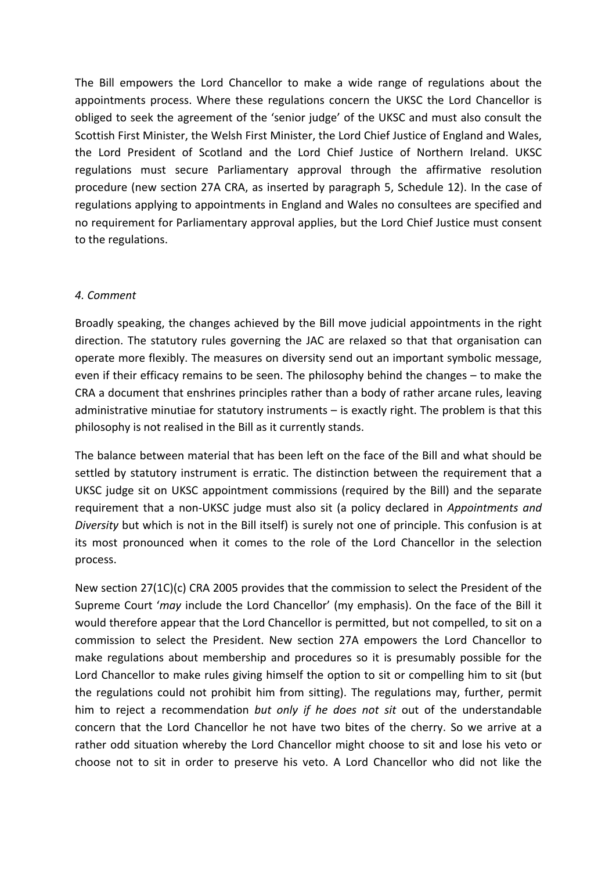The Bill empowers the Lord Chancellor to make a wide range of regulations about the appointments process. Where these regulations concern the UKSC the Lord Chancellor is obliged to seek the agreement of the 'senior judge' of the UKSC and must also consult the Scottish First Minister, the Welsh First Minister, the Lord Chief Justice of England and Wales, the Lord President of Scotland and the Lord Chief Justice of Northern Ireland. UKSC regulations must secure Parliamentary approval through the affirmative resolution procedure (new section 27A CRA, as inserted by paragraph 5, Schedule 12). In the case of regulations applying to appointments in England and Wales no consultees are specified and no requirement for Parliamentary approval applies, but the Lord Chief Justice must consent to the regulations.

## *4. Comment*

Broadly speaking, the changes achieved by the Bill move judicial appointments in the right direction. The statutory rules governing the JAC are relaxed so that that organisation can operate more flexibly. The measures on diversity send out an important symbolic message, even if their efficacy remains to be seen. The philosophy behind the changes  $-$  to make the CRA a document that enshrines principles rather than a body of rather arcane rules, leaving administrative minutiae for statutory instruments  $-$  is exactly right. The problem is that this philosophy is not realised in the Bill as it currently stands.

The balance between material that has been left on the face of the Bill and what should be settled by statutory instrument is erratic. The distinction between the requirement that a UKSC judge sit on UKSC appointment commissions (required by the Bill) and the separate requirement that a non-UKSC judge must also sit (a policy declared in *Appointments and Diversity* but which is not in the Bill itself) is surely not one of principle. This confusion is at its most pronounced when it comes to the role of the Lord Chancellor in the selection process.

New section  $27(1C)(c)$  CRA 2005 provides that the commission to select the President of the Supreme Court '*may* include the Lord Chancellor' (my emphasis). On the face of the Bill it would therefore appear that the Lord Chancellor is permitted, but not compelled, to sit on a commission to select the President. New section 27A empowers the Lord Chancellor to make regulations about membership and procedures so it is presumably possible for the Lord Chancellor to make rules giving himself the option to sit or compelling him to sit (but the regulations could not prohibit him from sitting). The regulations may, further, permit him to reject a recommendation *but only if he does not sit* out of the understandable concern that the Lord Chancellor he not have two bites of the cherry. So we arrive at a rather odd situation whereby the Lord Chancellor might choose to sit and lose his veto or choose not to sit in order to preserve his veto. A Lord Chancellor who did not like the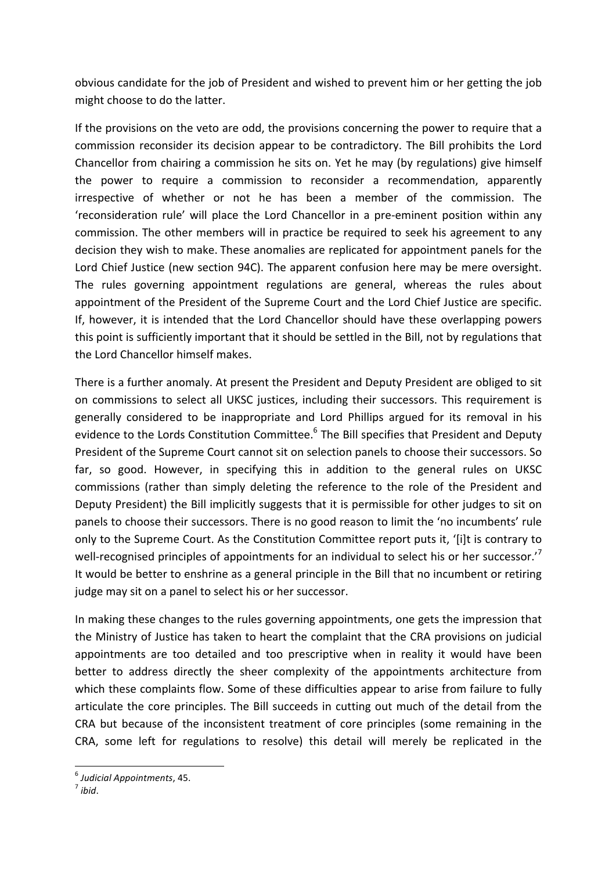obvious candidate for the job of President and wished to prevent him or her getting the job might choose to do the latter.

If the provisions on the veto are odd, the provisions concerning the power to require that a commission reconsider its decision appear to be contradictory. The Bill prohibits the Lord Chancellor from chairing a commission he sits on. Yet he may (by regulations) give himself the power to require a commission to reconsider a recommendation, apparently irrespective of whether or not he has been a member of the commission. The 'reconsideration rule' will place the Lord Chancellor in a pre-eminent position within any commission. The other members will in practice be required to seek his agreement to any decision they wish to make. These anomalies are replicated for appointment panels for the Lord Chief Justice (new section 94C). The apparent confusion here may be mere oversight. The rules governing appointment regulations are general, whereas the rules about appointment of the President of the Supreme Court and the Lord Chief Justice are specific. If, however, it is intended that the Lord Chancellor should have these overlapping powers this point is sufficiently important that it should be settled in the Bill, not by regulations that the Lord Chancellor himself makes.

There is a further anomaly. At present the President and Deputy President are obliged to sit on commissions to select all UKSC justices, including their successors. This requirement is generally considered to be inappropriate and Lord Phillips argued for its removal in his evidence to the Lords Constitution Committee.<sup>6</sup> The Bill specifies that President and Deputy President of the Supreme Court cannot sit on selection panels to choose their successors. So far, so good. However, in specifying this in addition to the general rules on UKSC commissions (rather than simply deleting the reference to the role of the President and Deputy President) the Bill implicitly suggests that it is permissible for other judges to sit on panels to choose their successors. There is no good reason to limit the 'no incumbents' rule only to the Supreme Court. As the Constitution Committee report puts it, '[i]t is contrary to well-recognised principles of appointments for an individual to select his or her successor.'<sup>7</sup> It would be better to enshrine as a general principle in the Bill that no incumbent or retiring judge may sit on a panel to select his or her successor.

In making these changes to the rules governing appointments, one gets the impression that the Ministry of Justice has taken to heart the complaint that the CRA provisions on judicial appointments are too detailed and too prescriptive when in reality it would have been better to address directly the sheer complexity of the appointments architecture from which these complaints flow. Some of these difficulties appear to arise from failure to fully articulate the core principles. The Bill succeeds in cutting out much of the detail from the CRA but because of the inconsistent treatment of core principles (some remaining in the CRA, some left for regulations to resolve) this detail will merely be replicated in the

<u> 1989 - Jan Samuel Barbara, margaret e</u>

<sup>6</sup> *Judicial Appointments*, 45. <sup>7</sup> *ibid*.